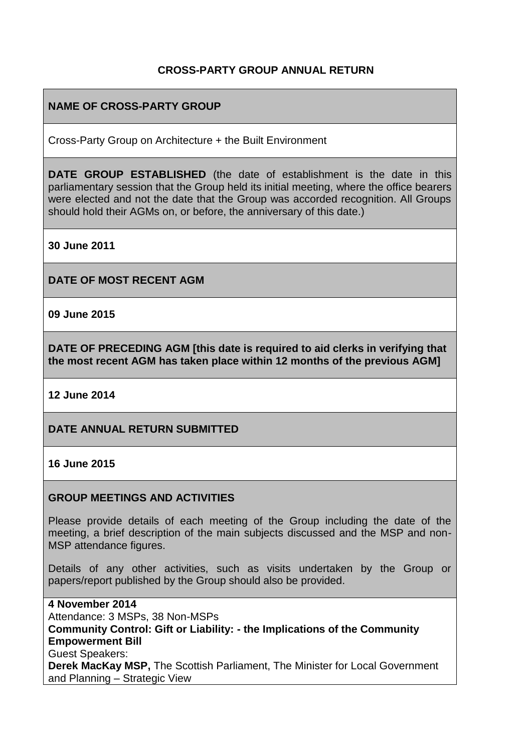# **CROSS-PARTY GROUP ANNUAL RETURN**

## **NAME OF CROSS-PARTY GROUP**

Cross-Party Group on Architecture + the Built Environment

**DATE GROUP ESTABLISHED** (the date of establishment is the date in this parliamentary session that the Group held its initial meeting, where the office bearers were elected and not the date that the Group was accorded recognition. All Groups should hold their AGMs on, or before, the anniversary of this date.)

**30 June 2011**

**DATE OF MOST RECENT AGM**

**09 June 2015**

**DATE OF PRECEDING AGM [this date is required to aid clerks in verifying that the most recent AGM has taken place within 12 months of the previous AGM]**

**12 June 2014**

### **DATE ANNUAL RETURN SUBMITTED**

#### **16 June 2015**

#### **GROUP MEETINGS AND ACTIVITIES**

Please provide details of each meeting of the Group including the date of the meeting, a brief description of the main subjects discussed and the MSP and non-MSP attendance figures.

Details of any other activities, such as visits undertaken by the Group or papers/report published by the Group should also be provided.

**4 November 2014** Attendance: 3 MSPs, 38 Non-MSPs **Community Control: Gift or Liability: - the Implications of the Community Empowerment Bill** Guest Speakers: **Derek MacKay MSP,** The Scottish Parliament, The Minister for Local Government and Planning – Strategic View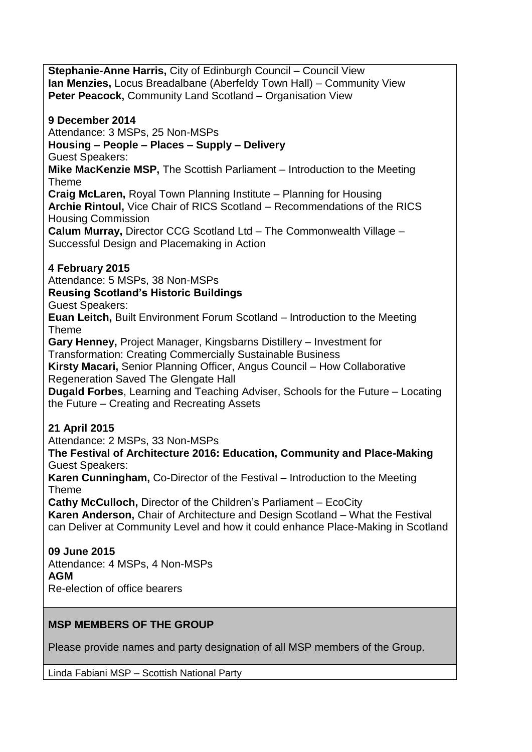**Stephanie-Anne Harris,** City of Edinburgh Council – Council View **Ian Menzies,** Locus Breadalbane (Aberfeldy Town Hall) – Community View **Peter Peacock,** Community Land Scotland – Organisation View

**9 December 2014** Attendance: 3 MSPs, 25 Non-MSPs **Housing – People – Places – Supply – Delivery** Guest Speakers: **Mike MacKenzie MSP,** The Scottish Parliament – Introduction to the Meeting Theme **Craig McLaren,** Royal Town Planning Institute – Planning for Housing **Archie Rintoul,** Vice Chair of RICS Scotland – Recommendations of the RICS Housing Commission **Calum Murray,** Director CCG Scotland Ltd – The Commonwealth Village – Successful Design and Placemaking in Action **4 February 2015** Attendance: 5 MSPs, 38 Non-MSPs **Reusing Scotland's Historic Buildings** Guest Speakers: **Euan Leitch,** Built Environment Forum Scotland – Introduction to the Meeting Theme **Gary Henney,** Project Manager, Kingsbarns Distillery – Investment for Transformation: Creating Commercially Sustainable Business **Kirsty Macari,** Senior Planning Officer, Angus Council – How Collaborative Regeneration Saved The Glengate Hall **Dugald Forbes**, Learning and Teaching Adviser, Schools for the Future – Locating the Future – Creating and Recreating Assets **21 April 2015**

Attendance: 2 MSPs, 33 Non-MSPs

**The Festival of Architecture 2016: Education, Community and Place-Making** Guest Speakers:

**Karen Cunningham,** Co-Director of the Festival – Introduction to the Meeting Theme

**Cathy McCulloch,** Director of the Children's Parliament – EcoCity **Karen Anderson,** Chair of Architecture and Design Scotland – What the Festival can Deliver at Community Level and how it could enhance Place-Making in Scotland

# **09 June 2015**

Attendance: 4 MSPs, 4 Non-MSPs **AGM** Re-election of office bearers

# **MSP MEMBERS OF THE GROUP**

Please provide names and party designation of all MSP members of the Group.

Linda Fabiani MSP – Scottish National Party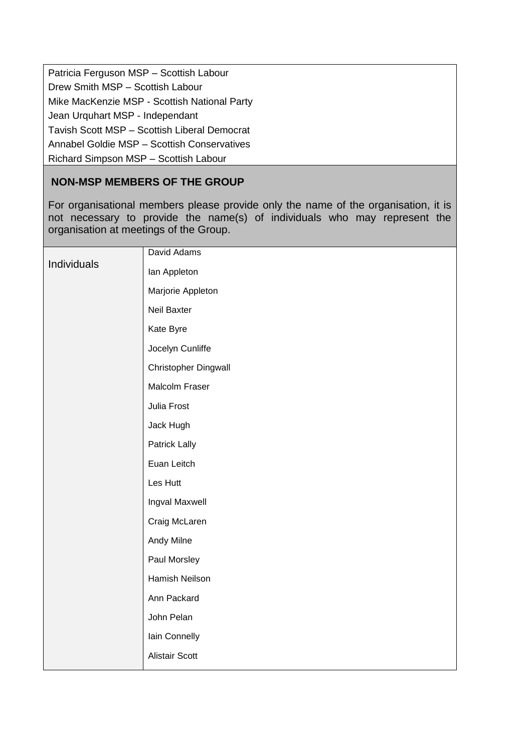| Patricia Ferguson MSP - Scottish Labour      |
|----------------------------------------------|
| Drew Smith MSP - Scottish Labour             |
| Mike MacKenzie MSP - Scottish National Party |
| Jean Urquhart MSP - Independant              |
| Tavish Scott MSP - Scottish Liberal Democrat |
| Annabel Goldie MSP - Scottish Conservatives  |
| Richard Simpson MSP - Scottish Labour        |

# **NON-MSP MEMBERS OF THE GROUP**

For organisational members please provide only the name of the organisation, it is not necessary to provide the name(s) of individuals who may represent the organisation at meetings of the Group.

| Individuals | David Adams           |
|-------------|-----------------------|
|             | lan Appleton          |
|             | Marjorie Appleton     |
|             | Neil Baxter           |
|             | Kate Byre             |
|             | Jocelyn Cunliffe      |
|             | Christopher Dingwall  |
|             | Malcolm Fraser        |
|             | Julia Frost           |
|             | Jack Hugh             |
|             | <b>Patrick Lally</b>  |
|             | Euan Leitch           |
|             | Les Hutt              |
|             | Ingval Maxwell        |
|             | Craig McLaren         |
|             | Andy Milne            |
|             | Paul Morsley          |
|             | Hamish Neilson        |
|             | Ann Packard           |
|             | John Pelan            |
|             | Iain Connelly         |
|             | <b>Alistair Scott</b> |
|             |                       |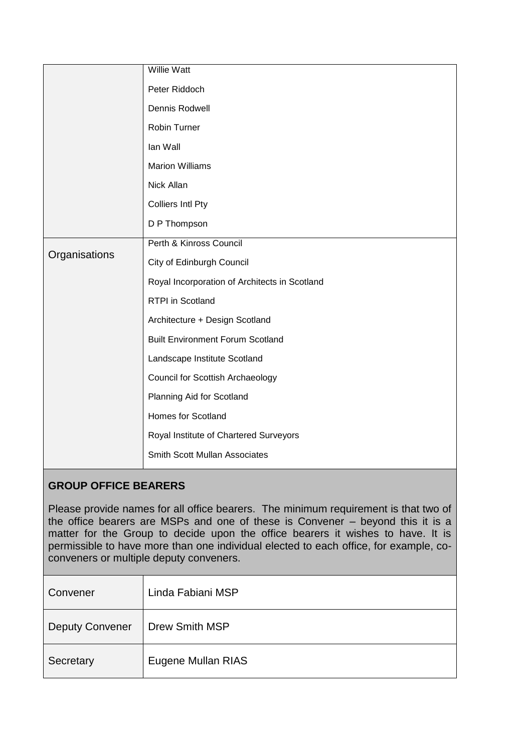| Willie Watt                                   |
|-----------------------------------------------|
| Peter Riddoch                                 |
| Dennis Rodwell                                |
| Robin Turner                                  |
| lan Wall                                      |
| <b>Marion Williams</b>                        |
| Nick Allan                                    |
| <b>Colliers Intl Pty</b>                      |
| D P Thompson                                  |
| Perth & Kinross Council                       |
| City of Edinburgh Council                     |
| Royal Incorporation of Architects in Scotland |
| RTPI in Scotland                              |
| Architecture + Design Scotland                |
| <b>Built Environment Forum Scotland</b>       |
| Landscape Institute Scotland                  |
| Council for Scottish Archaeology              |
| Planning Aid for Scotland                     |
| Homes for Scotland                            |
| Royal Institute of Chartered Surveyors        |
| <b>Smith Scott Mullan Associates</b>          |
|                                               |

# **GROUP OFFICE BEARERS**

Please provide names for all office bearers. The minimum requirement is that two of the office bearers are MSPs and one of these is Convener – beyond this it is a matter for the Group to decide upon the office bearers it wishes to have. It is permissible to have more than one individual elected to each office, for example, coconveners or multiple deputy conveners.

| Convener               | Linda Fabiani MSP     |
|------------------------|-----------------------|
| <b>Deputy Convener</b> | <b>Drew Smith MSP</b> |
| Secretary              | Eugene Mullan RIAS    |